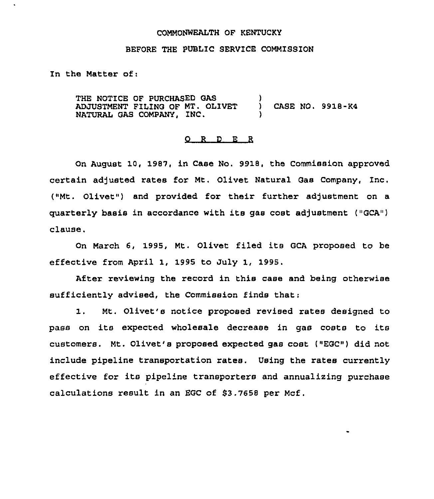### COMMONWEALTH OF KENTUCKY

### BEFORE THE PUBLIC SERVICE COMMISSION

In the Matter of:

THE NOTICE OF PURCHASED GAS ADJUSTMENT FILING OF MT. OLIVET NATURAL GAS COMPANY, INC. ) CASE NO. 9918-K4 )

## 0 <sup>R</sup> <sup>D</sup> E <sup>R</sup>

On August 10, 1987, in Case No. 9918, the Commission approved certain adjusted rates for Mt. Olivet Natural Gas Company, Inc. ("Mt. Olivet") and provided for their further adjustment on a quarterly basis in accordance with its gas cost adjustment  $($  "GCA") clause.

On March 6, 1995, Mt. Olivet filed its GCA proposed to be effective from April 1, 1995 to July 1, 1995.

After reviewing the record in this case and being otherwise sufficiently advised, the Commission finds that;

1. Mt. Olivet's notice proposed revised rates designed to pass on its expected wholesale decrease in gas costs to its customers. Mt. Olivet's proposed expected gas cost ("EGC") did not include pipeline transportation rates. Using the rates currently effective for its pipeline transporters and annualizing purchase calculations result in an EGC of \$3.7658 per Mcf.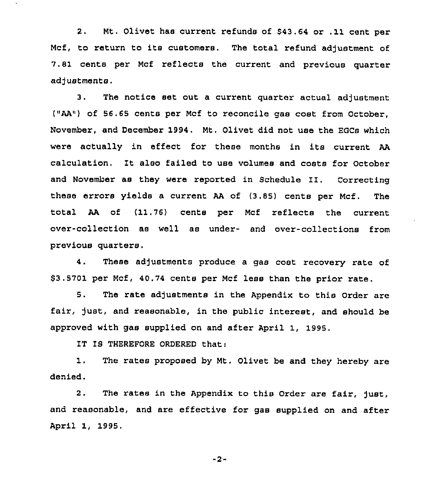2, Mt, Olivet has current refunds of \$43,64 or .11 cent per Mcf, to return to its customers. The total refund adjustment of 7.81 cents per Mcf reflects the current and previous quarter adjustments.

3. The notice set out a current quarter actual adjustment ("AA"} of 56.65 cents per Mcf to reconcile gas cost from October, November, and December 1994. Mt. Olivet did not use the EQCs which were actually in effect for these months in its current AA calculation. It also failed to use volumes and costs for October and November as they were reported in Schedule II. Correcting these errors yields a current AA of (3.85) cents per Mcf. The total AA of (11.76) cents per Mcf reflects the current over-collection as well as under- and over-collections from previous quarters.

4. These adjustments produce a gas coat recovery rate of \$3.5701 per Mcf, 40.74 cents per Mcf less than the prior rate.

5. The rate adjustments in the Appendix to this Order are fair, just, and reasonable, in the public interest, and should be approved with gas supplied on and after April 1, 1995.

IT IS THEREFORE ORDERED that:

1. The rates proposed by Mt. Olivet be and they hereby are denied.

2. The rates in the Appendix to this Order are fair, just, and reasonable, and are effective for gas supplied on and after April 1, 1995.

-2-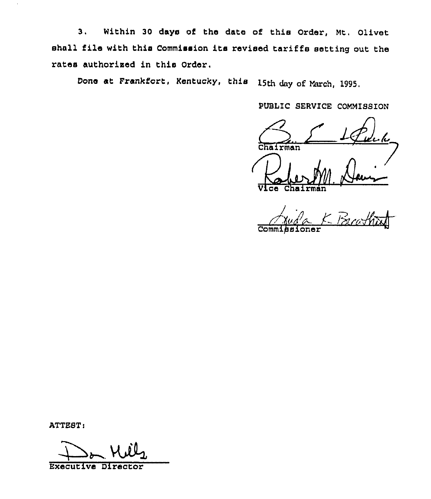3. Within 30 days of the date of this Order, Mt. Olivet shall file with this Commission its revised tariffs setting out the rates authorised in this Order.

Done at Frankfort, Kentucky, this 15th day of March, 1995.

PUBLIC SERVICE COMMISSION

1 Pul Chairman

ce Chairman

Comm Fruda K Breathan

ATTEST:

Executive Director